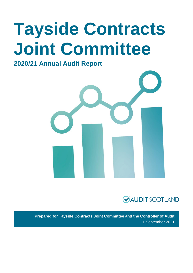# **Tayside Contracts Joint Committee**

### **2020/21 Annual Audit Report**





**Prepared for Tayside Contracts Joint Committee and the Controller of Audit** 1 September 2021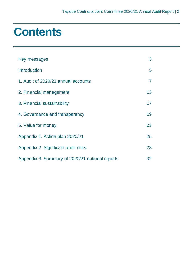## **Contents**

| Key messages                                    | 3  |
|-------------------------------------------------|----|
| <b>Introduction</b>                             | 5  |
| 1. Audit of 2020/21 annual accounts             | 7  |
| 2. Financial management                         | 13 |
| 3. Financial sustainability                     | 17 |
| 4. Governance and transparency                  | 19 |
| 5. Value for money                              | 23 |
| Appendix 1. Action plan 2020/21                 | 25 |
| Appendix 2. Significant audit risks             | 28 |
| Appendix 3. Summary of 2020/21 national reports | 32 |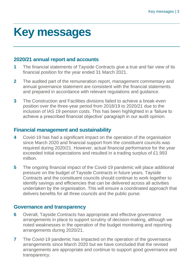## <span id="page-2-0"></span>**Key messages**

#### **2020/21 annual report and accounts**

- **1** The financial statements of Tayside Contracts give a true and fair view of its financial position for the year ended 31 March 2021.
- **2** The audited part of the remuneration report, management commentary and annual governance statement are consistent with the financial statements and prepared in accordance with relevant regulations and guidance.
- **3** The Construction and Facilities divisions failed to achieve a break-even position over the three-year period from 2018/19 to 2020/21 due to the inclusion of IAS 19 pension costs. This has been highlighted in a 'failure to achieve a prescribed financial objective' paragraph in our audit opinion.

### **Financial management and sustainability**

- **4** Covid-19 has had a significant impact on the operation of the organisation since March 2020 and financial support from the constituent councils was required during 2020/21. However, actual financial performance for the year exceeded initial expectations and resulted in a trading surplus of £1.993 million.
- **5** The ongoing financial impact of the Covid-19 pandemic will place additional pressure on the budget of Tayside Contracts in future years. Tayside Contracts and the constituent councils should continue to work together to identify savings and efficiencies that can be delivered across all activities undertaken by the organisation. This will ensure a coordinated approach that delivers benefits for all three councils and the public purse.

#### **Governance and transparency**

- **6** Overall, Tayside Contracts has appropriate and effective governance arrangements in place to support scrutiny of decision-making, although we noted weaknesses in the operation of the budget monitoring and reporting arrangements during 2020/21.
- **7** The Covid-19 pandemic has impacted on the operation of the governance arrangements since March 2020 but we have concluded that the revised arrangements are appropriate and continue to support good governance and transparency.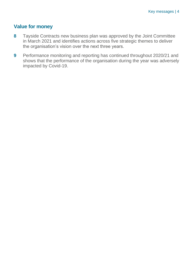#### **Value for money**

- **8** Tayside Contracts new business plan was approved by the Joint Committee in March 2021 and identifies actions across five strategic themes to deliver the organisation's vision over the next three years.
- **9** Performance monitoring and reporting has continued throughout 2020/21 and shows that the performance of the organisation during the year was adversely impacted by Covid-19.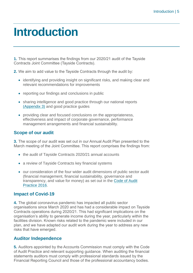## <span id="page-4-0"></span>**Introduction**

**1.** This report summarises the findings from our 2020/21 audit of the Tayside Contracts Joint Committee (Tayside Contracts).

**2.** We aim to add value to the Tayside Contracts through the audit by:

- identifying and providing insight on significant risks, and making clear and relevant recommendations for improvements
- reporting our findings and conclusions in public
- sharing intelligence and good practice through our national reports [\(Appendix 3\)](#page-31-0) and good practice guides
- providing clear and focused conclusions on the appropriateness, effectiveness and impact of corporate governance, performance management arrangements and financial sustainability.

#### **Scope of our audit**

**3.** The scope of our audit was set out in our Annual Audit Plan presented to the March meeting of the Joint Committee. This report comprises the findings from:

- the audit of Tayside Contracts 2020/21 annual accounts
- a review of Tayside Contracts key financial systems
- our consideration of the four wider audit dimensions of public sector audit (financial management, financial sustainability, governance and transparency, and value for money) as set out in the [Code of Audit](http://www.audit-scotland.gov.uk/report/code-of-audit-practice-2016)  [Practice 2016.](http://www.audit-scotland.gov.uk/report/code-of-audit-practice-2016)

#### **Impact of Covid-19**

**4.** The global coronavirus pandemic has impacted all public sector organisations since March 2020 and has had a considerable impact on Tayside Contracts operations during 2020/21. This had significant implications on the organisation's ability to generate income during the year, particularly within the facilities division. Known risks related to the pandemic were included in our plan, and we have adapted our audit work during the year to address any new risks that have emerged.

#### **Auditor Independence**

**5.** Auditors appointed by the Accounts Commission must comply with the Code of Audit Practice and relevant supporting guidance. When auditing the financial statements auditors must comply with professional standards issued by the Financial Reporting Council and those of the professional accountancy bodies.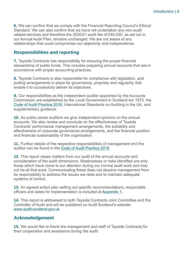**6.** We can confirm that we comply with the Financial Reporting Council's Ethical Standard. We can also confirm that we have not undertaken any non-audit related services and therefore the 2020/21 audit fee of £40,030, as set out in our Annual Audit Plan, remains unchanged. We are not aware of any relationships that could compromise our objectivity and independence.

#### **Responsibilities and reporting**

**7.** Tayside Contracts has responsibility for ensuring the proper financial stewardship of public funds. This includes preparing annual accounts that are in accordance with proper accounting practices.

**8.** Tayside Contracts is also responsible for compliance with legislation, and putting arrangements in place for governance, propriety and regularity that enable it to successfully deliver its objectives.

**9.** Our responsibilities as the independent auditor appointed by the Accounts Commission are established by the Local Government in Scotland Act 1973, the [Code of Audit Practice 2016,](https://www.audit-scotland.gov.uk/report/code-of-audit-practice-2016) International Standards on Auditing in the UK, and supplementary quidance.

**10.** As public sector auditors we give independent opinions on the annual accounts. We also review and conclude on the effectiveness of Tayside Contracts' performance management arrangements, the suitability and effectiveness of corporate governance arrangements, and the financial position and financial sustainability of the organisation.

**11.** Further details of the respective responsibilities of management and the auditor can be found in the [Code of Audit Practice 2016.](https://www.audit-scotland.gov.uk/report/code-of-audit-practice-2016)

**12.** This report raises matters from our audit of the annual accounts and consideration of the audit dimensions. Weaknesses or risks identified are only those which have come to our attention during our normal audit work and may not be all that exist. Communicating these does not absolve management from its responsibility to address the issues we raise and to maintain adequate systems of control.

**13.** An agreed action plan setting out specific recommendations, responsible officers and dates for implementation is included at [Appendix 1.](#page-24-0)

**14.** This report is addressed to both Tayside Contracts Joint Committee and the Controller of Audit and will be published on Audit Scotland's website: [www.audit-scotland.gov.uk](http://www.audit-scotland.gov.uk/)

#### **Acknowledgement**

**15.** We would like to thank the management and staff of Tayside Contracts for their cooperation and assistance during the audit.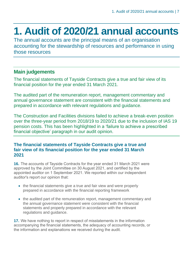### <span id="page-6-0"></span>**1. Audit of 2020/21 annual accounts**

The annual accounts are the principal means of an organisation accounting for the stewardship of resources and performance in using those resources

#### **Main judgements**

The financial statements of Tayside Contracts give a true and fair view of its financial position for the year ended 31 March 2021.

The audited part of the remuneration report, management commentary and annual governance statement are consistent with the financial statements and prepared in accordance with relevant regulations and guidance.

The Construction and Facilities divisions failed to achieve a break-even position over the three-year period from 2018/19 to 2020/21 due to the inclusion of IAS 19 pension costs. This has been highlighted in a 'failure to achieve a prescribed financial objective' paragraph in our audit opinion.

#### **The financial statements of Tayside Contracts give a true and fair view of its financial position for the year ended 31 March 2021**

**16.** The accounts of Tayside Contracts for the year ended 31 March 2021 were approved by the Joint Committee on 30 August 2021, and certified by the appointed auditor on 1 September 2021. We reported within our independent auditor's report our opinion that:

- the financial statements give a true and fair view and were properly prepared in accordance with the financial reporting framework
- the audited part of the remuneration report, management commentary and the annual governance statement were consistent with the financial statements and properly prepared in accordance with the relevant regulations and guidance.

**17.** We have nothing to report in respect of misstatements in the information accompanying the financial statements, the adequacy of accounting records, or the information and explanations we received during the audit.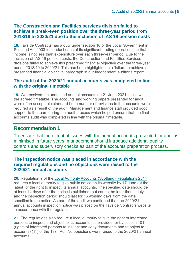#### **The Construction and Facilities services division failed to achieve a break-even position over the three-year period from 2018/19 to 2020/21 due to the inclusion of IAS 19 pension costs**

**18.** Tayside Contracts has a duty under section 10 of the Local Government in Scotland Act 2003 to conduct each of its significant trading operations so that income is not less than expenditure over each three-year period. Due to the inclusion of IAS 19 pension costs, the Construction and Facilities Services divisions failed to achieve this prescribed financial objective over the three-year period 2018/19 to 2020/21. This has been highlighted in a 'failure to achieve a prescribed financial objective' paragraph in our independent auditor's report.

#### **The audit of the 2020/21 annual accounts was completed in line with the original timetable**

<span id="page-7-0"></span>**19.** We received the unaudited annual accounts on 21 June 2021 in line with the agreed timetable. The accounts and working papers presented for audit were of an acceptable standard but a number of revisions to the accounts were required as a result of the audit. Management and finance staff provided good support to the team during the audit process which helped ensure that the final accounts audit was completed in line with the original timetable.

#### **Recommendation 1**

To ensure that the extent of issues with the annual accounts presented for audit is minimised in future years, management should introduce additional quality controls and supervisory checks as part of the accounts preparation process.

#### **The inspection notice was placed in accordance with the required regulations and no objections were raised to the 2020/21 annual accounts**

**20.** Regulation 9 of the [Local Authority Accounts \(Scotland\) Regulations 2014](https://www.legislation.gov.uk/ssi/2014/200/pdfs/ssi_20140200_en.pdf) requires a local authority to give public notice on its website by 17 June (at the latest) of the right to inspect its annual accounts. The specified date should be at least 14 days after the notice is published, but cannot be later than 1 July, and the inspection period should last for 15 working days from the date specified in the notice. As part of the audit we confirmed that the 2020/21 annual accounts inspection notice was placed on the Tayside Contracts website in accordance with the regulations.

**21.** The regulations also require a local authority to give the right of interested persons to inspect and object to its accounts, as provided for by section 101 (rights of interested persons to inspect and copy documents and to object to accounts) (11) of the 1974 Act. No objections were raised to the 2020/21 annual accounts.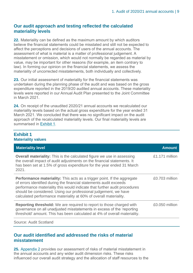#### **Our audit approach and testing reflected the calculated materiality levels**

**22.** Materiality can be defined as the maximum amount by which auditors believe the financial statements could be misstated and still not be expected to affect the perceptions and decisions of users of the annual accounts. The assessment of what is material is a matter of professional judgement. A misstatement or omission, which would not normally be regarded as material by value, may be important for other reasons (for example, an item contrary to law). In forming our opinion on the financial statements, we assess the materiality of uncorrected misstatements, both individually and collectively.

**23.** Our initial assessment of materiality for the financial statements was undertaken during the planning phase of the audit and was based on the gross expenditure reported in the 2019/20 audited annual accounts. These materiality levels were reported in our Annual Audit Plan presented to the Joint Committee in March 2021.

**24.** On receipt of the unaudited 2020/21 annual accounts we recalculated our materiality levels based on the actual gross expenditure for the year ended 31 March 2021. We concluded that there was no significant impact on the audit approach of the recalculated materiality levels. Our final materiality levels are summarised in [Exhibit](#page-8-0) 1.

#### <span id="page-8-0"></span>**Exhibit 1 Materiality values**

| <b>Materiality level</b>                                                                                                                                                                                                                                                                                                                                                  | <b>Amount</b>  |
|---------------------------------------------------------------------------------------------------------------------------------------------------------------------------------------------------------------------------------------------------------------------------------------------------------------------------------------------------------------------------|----------------|
| <b>Overall materiality:</b> This is the calculated figure we use in assessing<br>the overall impact of audit adjustments on the financial statements. It<br>has been set at 1.5% of gross expenditure for the year ended 31 March<br>2021.                                                                                                                                | £1.171 million |
| <b>Performance materiality:</b> This acts as a trigger point. If the aggregate<br>of errors identified during the financial statements audit exceeds<br>performance materiality this would indicate that further audit procedures<br>should be considered. Using our professional judgement, we have<br>calculated performance materiality at 60% of overall materiality. | £0.703 million |
| <b>Reporting threshold:</b> We are required to report to those charged with<br>governance on all unadjusted misstatements in excess of the 'reporting<br>threshold' amount. This has been calculated at 4% of overall materiality.                                                                                                                                        | £0.050 million |
| <b>Source: Audit Scotland</b>                                                                                                                                                                                                                                                                                                                                             |                |

#### **Our audit identified and addressed the risks of material misstatement**

**25.** [Appendix 2](#page-27-0) provides our assessment of risks of material misstatement in the annual accounts and any wider audit dimension risks. These risks influenced our overall audit strategy and the allocation of staff resources to the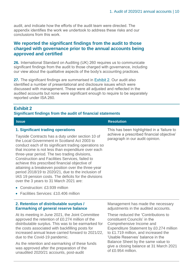audit, and indicate how the efforts of the audit team were directed. The appendix identifies the work we undertook to address these risks and our conclusions from this work.

#### **We reported the significant findings from the audit to those charged with governance prior to the annual accounts being approved and certified**

**26.** International Standard on Auditing (UK) 260 requires us to communicate significant findings from the audit to those charged with governance, including our view about the qualitative aspects of the body's accounting practices.

<span id="page-9-0"></span>**27.** The significant findings are summarised in [Exhibit](#page-9-0) 2. Our audit also identified a number of presentational and disclosure issues which were discussed with management. These were all adjusted and reflected in the audited accounts but none were significant enough to require to be separately reported under ISA 260.

#### **Exhibit 2**

#### **Significant findings from the audit of financial statements**

**Issue Resolution Resolution** 

| 1. Significant trading operations                                                                                                                                                                                                                                                                                                                                                                                                                                                                                                                                                          | This has been highlighted in a 'failure to                                  |
|--------------------------------------------------------------------------------------------------------------------------------------------------------------------------------------------------------------------------------------------------------------------------------------------------------------------------------------------------------------------------------------------------------------------------------------------------------------------------------------------------------------------------------------------------------------------------------------------|-----------------------------------------------------------------------------|
| Tayside Contracts has a duty under section 10 of<br>the Local Government in Scotland Act 2003 to<br>conduct each of its significant trading operations so<br>that income is not less than expenditure over each<br>three-year period. The two trading divisions,<br><b>Construction and Facilities Services, failed to</b><br>achieve this prescribed financial objective of<br>attaining a breakeven position over the three-year<br>period 2018/19 to 2020/21, due to the inclusion of<br>IAS 19 pension costs. The deficits for the divisions<br>over the 3 years to 31 March 2021 are: | achieve a prescribed financial objective<br>paragraph in our audit opinion. |
|                                                                                                                                                                                                                                                                                                                                                                                                                                                                                                                                                                                            |                                                                             |

- Construction: £3,939 million
- Facilities Services: £10.406 million

#### **2. Retention of distributable surplus / Earmarking of general reserve balance**

At its meeting in June 2021, the Joint Committee approved the retention of £0.274 million of the distributable surplus. This was to be earmarked for the costs associated with backfilling posts for increased annual leave carried forward to 2021/22, due to the Covid-19 pandemic.

As the retention and earmarking of these funds was approved after the preparation of the unaudited 2020/21 accounts, post-audit

Management has made the necessary adjustments in the audited accounts.

These reduced the 'Contributions to constituent Councils' in the Comprehensive Income and Expenditure Statement by £0.274 million to £1.719 million, and increased the 'Usable Reserves' balance in the Balance Sheet by the same value to give a closing balance at 31 March 2021 of £0.954 million.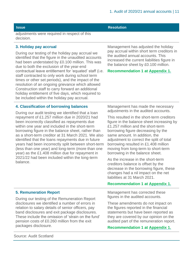adjustments were required in respect of this decision.

#### **3. Holiday pay accrual**

During our testing of the holiday pay accrual we identified that the figure in the unaudited accounts had been understated by £0.100 million. This was due to both the exclusion of the year-end contractual leave entitlement for 'equated' staff (i.e. staff contracted to only work during school term times or other set periods), and the impact of the resolution of an ongoing grievance which allowed Construction staff to carry forward an additional holiday entitlement of five days, which required to be included within the holiday pay accrual.

#### Management has adjusted the holiday pay accrual within short term creditors in the audited annual accounts. This increased the current liabilities figure in the balance sheet by £0.100 million.

#### **Recommendation 1 at [Appendix 1.](#page-24-0)**

#### **4. Classification of borrowing balances**

During our audit testing we identified that a loan repayment of £1.257 million due in 2020/21 had been incorrectly classified as repayments due within one year and included in the short-term borrowing figure in the balance sheet, rather than as a short-term creditor at 31 March 2021. We also identified that the loans repayments due in future years had been incorrectly split between short-term (less than one year) and long-term (more than one year) as the £1.408 million due for repayment in 2021/22 had been included within the long-term balance.

Management has made the necessary adjustments in the audited accounts.

This resulted in the short-term creditors figure in the balance sheet increasing by £1.257 million and the short-term borrowing figure decreasing by the same amount. In addition, the adjustment to correct the split of total borrowing resulted in £1.408 million moving from long-term to short-term borrowing in the balance sheet.

As the increase in the short-term creditors balance is offset by the decrease in the borrowing figure, these changes had a nil impact on the net liabilities at 31 March 2021.

#### **Recommendation 1 at [Appendix 1.](#page-24-0)**

Management has corrected these figures in the audited accounts.

These amendments do not impact on the figures reported in the financial statements but have been reported as they are covered by our opinion on the audited part of the remuneration report.

#### **Recommendation 1 at [Appendix 1.](#page-24-0)**

### During our testing of the Remuneration Report

**5. Remuneration Report**

disclosures we identified a number of errors in relation to salary details of senior officers, pay band disclosures and exit package disclosures. These include the omission of 'strain on the fund' pension costs of £0.260 million from the exit packages disclosure.

Source: Audit Scotland

#### **Issue Resolution**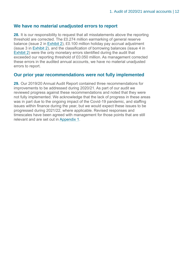#### **We have no material unadjusted errors to report**

**28.** It is our responsibility to request that all misstatements above the reporting threshold are corrected. The £0.274 million earmarking of general reserve balance (issue 2 in [Exhibit](#page-9-0) 2), £0.100 million holiday pay accrual adjustment (issue 3 in [Exhibit](#page-9-0) 2), and the classification of borrowing balances (issue 4 in [Exhibit](#page-9-0) 2) were the only monetary errors identified during the audit that exceeded our reporting threshold of £0.050 million. As management corrected these errors in the audited annual accounts, we have no material unadjusted errors to report.

#### **Our prior year recommendations were not fully implemented**

**29.** Our 2019/20 Annual Audit Report contained three recommendations for improvements to be addressed during 2020/21. As part of our audit we reviewed progress against these recommendations and noted that they were not fully implemented. We acknowledge that the lack of progress in these areas was in part due to the ongoing impact of the Covid-19 pandemic, and staffing issues within finance during the year, but we would expect these issues to be progressed during 2021/22, where applicable. Revised responses and timescales have been agreed with management for those points that are still relevant and are set out in [Appendix 1.](#page-24-0)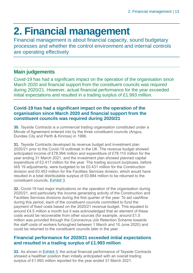## <span id="page-12-0"></span>**2. Financial management**

Financial management is about financial capacity, sound budgetary processes and whether the control environment and internal controls are operating effectively

### **Main judgements**

Covid-19 has had a significant impact on the operation of the organisation since March 2020 and financial support from the constituent councils was required during 2020/21. However, actual financial performance for the year exceeded initial expectations and resulted in a trading surplus of £1.993 million.

#### **Covid-19 has had a significant impact on the operation of the organisation since March 2020 and financial support from the constituent councils was required during 2020/21**

**30.** Tayside Contracts is a commercial trading organisation constituted under a Minute of Agreement entered into by the three constituent councils (Angus, Dundee City and Perth & Kinross) in 1996.

**31.** Tayside Contracts developed its revenue budget and investment plan 2020/21 prior to the Covid-19 outbreak in the UK. The revenue budget showed anticipated income of £78.994 million and expenditure of £78.110 million for the year ending 31 March 2021, and the investment plan showed planned capital expenditure of £2.417 million for the year. The trading account surpluses, before IAS 19 adjustments, were budgeted to be £0.431 million for the Construction division and £0.453 million for the Facilities Services division, which would have resulted in a total distributable surplus of £0.884 million to be returned to the constituent councils, [Exhibit](#page-13-0) 3.

**32.** Covid-19 had major implications on the operation of the organisation during 2020/21, and particularly the income generating activity of the Construction and Facilities Services divisions during the first quarter of the year. To aid cashflow during this period, each of the constituent councils committed to fund the payment of fixed costs based on the 2020/21 revenue budget. This equated to around £4.5 million a month but it was acknowledged that an element of these costs would be recoverable from other sources (for example, around £1.5 million was provided through the Coronavirus Job Retention Scheme towards the staff costs of workers furloughed between 1 March and 10 June 2020) and could be returned to the constituent councils later in the year.

#### **Financial performance for 2020/21 exceeded initial expectations and resulted in a trading surplus of £1.993 million**

**33.** As shown in [Exhibit](#page-13-0) 3, the actual financial performance of Tayside Contracts showed a healthier position than initially anticipated with an overall trading surplus of £1.993 million reported for the year ended 31 March 2021.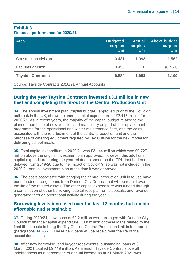#### <span id="page-13-0"></span>**Exhibit 3 Financial performance for 2020/21**

| <b>Area</b>                  | <b>Budgeted</b><br><b>surplus</b><br>£m | <b>Actual</b><br><b>surplus</b><br>£m | <b>Above budget</b><br><b>surplus</b><br>Em |
|------------------------------|-----------------------------------------|---------------------------------------|---------------------------------------------|
| <b>Construction division</b> | 0.431                                   | 1.993                                 | 1.562                                       |
| <b>Facilities division</b>   | 0.453                                   | $\cup$                                | (0.453)                                     |
| <b>Tayside Contracts</b>     | 0.884                                   | 1.993                                 | 1.109                                       |

Source: Tayside Contracts 2020/21 Annual Accounts

#### **During the year Tayside Contracts invested £3.1 million in new fleet and completing the fit-out of the Central Production Unit**

<span id="page-13-1"></span>**34.** The annual investment plan (capital budget), approved prior to the Covid-19 outbreak in the UK, showed planned capital expenditure of £2.417 million for 2020/21. As in recent years, the majority of the capital budget related to the planned purchase of new vehicles and machinery as part of the replacement programme for the operational and winter maintenance fleet, and the costs associated with the refurbishment of the central production unit and the purchase of catering equipment required by Tay Cuisine for the new model for delivering school meals.

**35.** Total capital expenditure in 2020/21 was £3.144 million which was £0.727 million above the original investment plan approved. However, this additional capital expenditure during the year related to spend on the CPU that had been delayed from 2019/20 due to the impact of Covid-19, so was not included in the 2020/21 annual investment plan at the time it was approved.

<span id="page-13-2"></span>**36.** The costs associated with bringing the central production unit in to use have been funded through loans from Dundee City Council that will be repaid over the life of the related assets. The other capital expenditure was funded through a combination of other borrowing, capital receipts from disposals, and revenue generated through operational activity during the year.

#### **Borrowing levels increased over the last 12 months but remain affordable and sustainable**

**37.** During 2020/21, new loans of £2.2 million were arranged with Dundee City Council to finance capital expenditure. £0.8 million of these loans related to the final fit-out costs to bring the Tay Cuisine Central Production Unit in to operation (paragraphs [34.](#page-13-1) [-36. \)](#page-13-2). These new loans will be repaid over the life of the associated assets.

**38.** After new borrowing, and in-year repayments, outstanding loans at 31 March 2021 totalled £9.419 million. As a result, Tayside Contracts overall indebtedness as a percentage of annual income as at 31 March 2021 was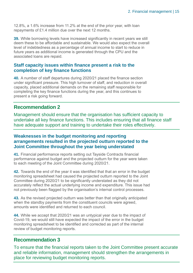12.8%, a 1.6% increase from 11.2% at the end of the prior year, with loan repayments of £1.4 million due over the next 12 months.

**39.** While borrowing levels have increased significantly in recent years we still deem these to be affordable and sustainable. We would also expect the overall level of indebtedness as a percentage of annual income to start to reduce in future years as additional income is generated through the CPU and the associated loans are repaid.

#### **Staff capacity issues within finance present a risk to the completion of key finance functions**

<span id="page-14-2"></span>**40.** A number of staff departures during 2020/21 placed the finance section under significant pressure. This high turnover of staff, and reduction in overall capacity, placed additional demands on the remaining staff responsible for completing the key finance functions during the year, and this continues to present a risk going forward.

### **Recommendation 2**

Management should ensure that the organisation has sufficient capacity to undertake all key finance functions. This includes ensuring that all finance staff have adequate support and training to undertake their roles effectively.

#### **Weaknesses in the budget monitoring and reporting arrangements resulted in the projected outturn reported to the Joint Committee throughout the year being understated**

<span id="page-14-0"></span>**41.** Financial performance reports setting out Tayside Contracts financial performance against budget and the projected outturn for the year were taken to each meeting of the Joint Committee during 2020/21.

**42.** Towards the end of the year it was identified that that an error in the budget monitoring spreadsheet had caused the projected outturn reported to the Joint Committee during 2020/21 to be significantly understated as they did not accurately reflect the actual underlying income and expenditure. This issue had not previously been flagged by the organisation's internal control processes.

**43.** As the revised projected outturn was better than that originally anticipated when the standby payments from the constituent councils were agreed. amounts were identified and returned to each council.

<span id="page-14-1"></span>**44.** While we accept that 2020/21 was an untypical year due to the impact of Covid-19, we would still have expected the impact of the error in the budget monitoring spreadsheet to be identified and corrected as part of the internal review of budget monitoring reports.

### **Recommendation 3**

To ensure that the financial reports taken to the Joint Committee present accurate and reliable information, management should strengthen the arrangements in place for reviewing budget monitoring reports.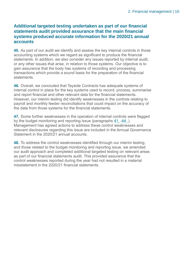#### **Additional targeted testing undertaken as part of our financial statements audit provided assurance that the main financial systems produced accurate information for the 2020/21 annual accounts**

**45.** As part of our audit we identify and assess the key internal controls in those accounting systems which we regard as significant to produce the financial statements. In addition, we also consider any issues reported by internal audit, or any other issues that arise, in relation to those systems. Our objective is to gain assurance that the body has systems of recording and processing transactions which provide a sound basis for the preparation of the financial statements.

**46.** Overall, we concluded that Tayside Contracts has adequate systems of internal control in place for the key systems used to record, process, summarise and report financial and other relevant data for the financial statements. However, our interim testing did identify weaknesses in the controls relating to payroll and monthly feeder reconciliations that could impact on the accuracy of the data from those systems for the financial statements.

**47.** Some further weaknesses in the operation of internal controls were flagged by the budget monitoring and reporting issue (paragraphs [41.](#page-14-0) [-44. \)](#page-14-1). Management has agreed actions to address these control weaknesses and relevant disclosures regarding this issue are included in the Annual Governance Statement in the 2020/21 annual accounts.

**48.** To address the control weaknesses identified through our interim testing, and those related to the budget monitoring and reporting issue, we amended our audit approach and completed additional targeted testing on relevant areas as part of our financial statements audit. This provided assurance that the control weaknesses reported during the year had not resulted in a material misstatement in the 2020/21 financial statements.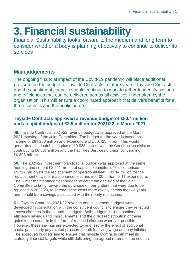## <span id="page-16-0"></span>**3. Financial sustainability**

Financial Sustainability looks forward to the medium and long term to consider whether a body is planning effectively to continue to deliver its services

### **Main judgements**

The ongoing financial impact of the Covid-19 pandemic will place additional pressure on the budget of Tayside Contracts in future years. Tayside Contracts and the constituent councils should continue to work together to identify savings and efficiencies that can be delivered across all activities undertaken by the organisation. This will ensure a coordinated approach that delivers benefits for all three councils and the public purse.

#### **Tayside Contracts approved a revenue budget of £80.4 million and a capital budget of £2.5 million for 2021/22 in March 2021**

**49.** Tayside Contracts' 2021/22 revenue budget was approved at the March 2021 meeting of the Joint Committee. The budget for the year is based on income of £81.258 million and expenditure of £80.423 million. This would generate a distributable surplus of £0.835 million, with the Construction division contributing £0.307 million and the Facilities Services division contributing £0.508 million.

**50.** The 2021/22 investment plan (capital budget) was approved at the same meeting and set out £2.511 million of capital expenditure. This comprised £1.797 million for the replacement of operational fleet, £0.614 million for the replacement of winter maintenance fleet and £0.100 million for IT expenditure. The winter maintenance fleet budget reflected the decision of the Joint Committee to bring forward the purchase of four gritters that were due to be replaced in 2022/23, to spread these costs more evenly across the two years and benefit from savings associated with their early replacement.

**51.** Tayside Contracts 2021/22 revenue and investment budgets were developed in consultation with the constituent councils to ensure they reflected known changes in the councils' budgets. Both budgets include continued efficiency savings and improvements, and the direct redistribution of these gains to the councils in the form of reduced charges wherever possible. However, these savings are expected to be offset by the effect of additional costs, particularly pay related pressures, both for living wage and pay inflation. The approved budgets aim to ensure that Tayside Contracts can meet its statutory financial targets while still delivering the agreed returns to the councils.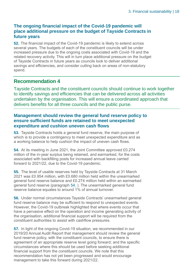#### **The ongoing financial impact of the Covid-19 pandemic will place additional pressure on the budget of Tayside Contracts in future years**

<span id="page-17-1"></span>**52.** The financial impact of the Covid-19 pandemic is likely to extend across several years. The budgets of each of the constituent councils will be under increased pressure due to the ongoing costs associated with Covid-19 and the related recovery activity. This will in turn place additional pressure on the budget of Tayside Contracts in future years as councils look to deliver additional savings and efficiencies, and consider cutting back on areas of non-statutory spend.

#### **Recommendation 4**

Tayside Contracts and the constituent councils should continue to work together to identify savings and efficiencies that can be delivered across all activities undertaken by the organisation. This will ensure a coordinated approach that delivers benefits for all three councils and the public purse.

#### **Management should review the general fund reserve policy to ensure sufficient funds are retained to meet unexpected expenditure and cushion uneven cash flows**

<span id="page-17-2"></span>**53.** Tayside Contracts holds a general fund reserve, the main purpose of which is to provide a contingency to meet unexpected expenditure and as a working balance to help cushion the impact of uneven cash flows.

<span id="page-17-0"></span>**54.** At its meeting in June 2021, the Joint Committee approved £0.274 million of the in-year surplus being retained, and earmarked, for the costs associated with backfilling posts for increased annual leave carried forward to 2021/22, due to the Covid-19 pandemic.

**55.** The level of usable reserves held by Tayside Contracts at 31 March 2021 was £0.954 million, with £0.680 million held within the unearmarked general fund reserve balance and £0.274 million held within an earmarked general fund reserve (paragraph [54. \)](#page-17-0). The unearmarked general fund reserve balance equates to around 1% of annual turnover.

**56.** Under normal circumstances Tayside Contracts' unearmarked general fund reserve balance may be sufficient to respond to unexpected events. However, the Covid-19 outbreak highlighted that where events occur that have a pervasive effect on the operation and income generating activity of the organisation, additional financial support will be required from the constituent authorities to assist with cashflow pressures.

<span id="page-17-3"></span>**57.** In light of the ongoing Covid-19 situation, we recommended in our 2019/20 Annual Audit Report that management should review the general fund reserve policy, with the constituent councils, to ensure there is agreement of an appropriate reserve level going forward; and the specific circumstances where this should be used before seeking additional financial support from the constituent councils. We note that this recommendation has not yet been progressed and would encourage management to take this forward during 2021/22.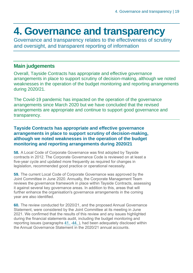### <span id="page-18-0"></span>**4. Governance and transparency**

Governance and transparency relates to the effectiveness of scrutiny and oversight, and transparent reporting of information

#### **Main judgements**

Overall, Tayside Contracts has appropriate and effective governance arrangements in place to support scrutiny of decision-making, although we noted weaknesses in the operation of the budget monitoring and reporting arrangements during 2020/21.

The Covid-19 pandemic has impacted on the operation of the governance arrangements since March 2020 but we have concluded that the revised arrangements are appropriate and continue to support good governance and transparency.

#### **Tayside Contracts has appropriate and effective governance arrangements in place to support scrutiny of decision-making, although we noted weaknesses in the operation of the budget monitoring and reporting arrangements during 2020/21**

**58.** A Local Code of Corporate Governance was first adopted by Tayside contracts in 2012. The Corporate Governance Code is reviewed on at least a five-year cycle and updated more frequently as required for changes in legislation, recommended good practice or operational necessity.

**59.** The current Local Code of Corporate Governance was approved by the Joint Committee in June 2020. Annually, the Corporate Management Team reviews the governance framework in place within Tayside Contracts, assessing it against several key governance areas. In addition to this, areas that will further enhance the organisation's governance arrangements in the coming year are also identified.

**60.** The review conducted for 2020/21, and the proposed Annual Governance Statement, were considered by the Joint Committee at its meeting in June 2021. We confirmed that the results of this review and any issues highlighted during the financial statements audit, including the budget monitoring and reporting issues (paragraphs [41.](#page-14-0) [-44. \)](#page-14-1), had been adequately disclosed within the Annual Governance Statement in the 2020/21 annual accounts.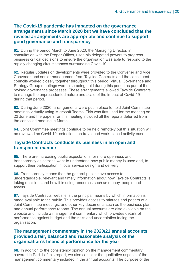#### **The Covid-19 pandemic has impacted on the governance arrangements since March 2020 but we have concluded that the revised arrangements are appropriate and continue to support good governance and transparency**

**61.** During the period March to June 2020, the Managing Director, in consultation with the Proper Officer, used his delegated powers to progress business critical decisions to ensure the organisation was able to respond to the rapidly changing circumstances surrounding Covid-19.

**62.** Regular updates on developments were provided to the Convener and Vice Convener, and senior management from Tayside Contracts and the constituent councils worked closely together throughout this period. Virtual Governance and Strategy Group meetings were also being held during this period as part of the revised governance processes. These arrangements allowed Tayside Contracts to manage the unprecedented nature and scale of the impact of Covid-19 during that period.

**63.** During June 2020, arrangements were put in place to hold Joint Committee meetings virtually using Microsoft Teams. This was first used for the meeting on 22 June and the papers for this meeting included all the reports deferred from the cancelled meeting in March.

**64.** Joint Committee meetings continue to be held remotely but this situation will be reviewed as Covid-19 restrictions on travel and work placed activity ease.

#### **Tayside Contracts conducts its business in an open and transparent manner**

**65.** There are increasing public expectations for more openness and transparency as citizens want to understand how public money is used and, to support their participation in local service design and delivery.

**66.** Transparency means that the general public have access to understandable, relevant and timely information about how Tayside Contracts is taking decisions and how it is using resources such as money, people and assets.

**67.** Tayside Contracts' website is the principal means by which information is made available to the public. This provides access to minutes and papers of all Joint Committee meetings, and other key documents such as the business plan and annual performance reports. The annual accounts are also available on the website and include a management commentary which provides details of performance against budget and the risks and uncertainties facing the organisation.

#### **The management commentary in the 2020/21 annual accounts provided a fair, balanced and reasonable analysis of the organisation's financial performance for the year**

**68.** In addition to the consistency opinion on the management commentary covered in Part 1 of this report, we also consider the qualitative aspects of the management commentary included in the annual accounts. The purpose of the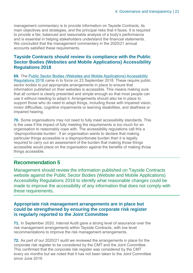management commentary is to provide information on Tayside Contracts, its main objectives and strategies, and the principal risks that it faces. It is required to provide a fair, balanced and reasonable analysis of a body's performance and is essential in helping stakeholders understand the financial statements. We concluded that the management commentary in the 2020/21 annual accounts satisfied these requirements.

#### **Tayside Contracts should review its compliance with the Public Sector Bodies (Websites and Mobile Applications) Accessibility Regulations 2018**

<span id="page-20-0"></span>**69.** The [Public Sector Bodies \(Websites and Mobile Applications\) Accessibility](https://www.legislation.gov.uk/uksi/2018/852/contents/made)  [Regulations 2018](https://www.legislation.gov.uk/uksi/2018/852/contents/made) came in to force on 23 September 2018. These require public sector bodies to put appropriate arrangements in place to ensure that information published on their websites is accessible. This means making sure that all content is clearly presented and simple enough so that most people can use it without needing to adapt it. Arrangements should also be in place to support those who do need to adapt things, including those with impaired vision, motor difficulties, cognitive impairments or learning disabilities, and deafness or impaired hearing.

<span id="page-20-1"></span>**70.** Some organisations may not need to fully meet accessibility standards. This is the case if the impact of fully meeting the requirements is too much for an organisation to reasonably cope with. The accessibility regulations call this a 'disproportionate burden'. If an organisation wants to declare that making particular things accessible is a disproportionate burden then it is legally required to carry out an assessment of the burden that making those things accessible would place on the organisation against the benefits of making those things accessible.

#### **Recommendation 5**

Management should review the information published on Tayside Contracts website against the Public Sector Bodies (Website and Mobile Applications) Accessibility Regulations 2018 to identify what reasonable changes could be made to improve the accessibility of any information that does not comply with these requirements.

#### **Appropriate risk management arrangements are in place but could be strengthened by ensuring the corporate risk register is regularly reported to the Joint Committee**

**71.** In September 2020, Internal Audit gave a strong level of assurance over the risk management arrangements within Tayside Contracts, with low level recommendations to improve the risk management arrangements.

**72.** As part of our 2020/21 audit we reviewed the arrangements in place for the corporate risk register to be considered by the CMT and the Joint Committee. This confirmed that the corporate risk register was considered by the CMT every six months but we noted that it has not been taken to the Joint Committee since June 2019.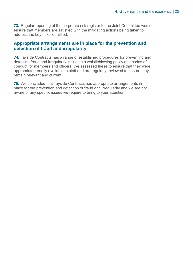**73.** Regular reporting of the corporate risk register to the Joint Committee would ensure that members are satisfied with the mitigating actions being taken to address the key risks identified.

#### **Appropriate arrangements are in place for the prevention and detection of fraud and irregularity**

**74.** Tayside Contracts has a range of established procedures for preventing and detecting fraud and irregularity including a whistleblowing policy and codes of conduct for members and officers. We assessed these to ensure that they were appropriate, readily available to staff and are regularly reviewed to ensure they remain relevant and current.

**75.** We concluded that Tayside Contracts has appropriate arrangements in place for the prevention and detection of fraud and irregularity and we are not aware of any specific issues we require to bring to your attention.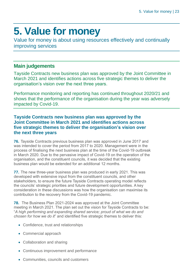## <span id="page-22-0"></span>**5. Value for money**

Value for money is about using resources effectively and continually improving services

#### **Main judgements**

Tayside Contracts new business plan was approved by the Joint Committee in March 2021 and identifies actions across five strategic themes to deliver the organisation's vision over the next three years.

Performance monitoring and reporting has continued throughout 2020/21 and shows that the performance of the organisation during the year was adversely impacted by Covid-19.

#### **Tayside Contracts new business plan was approved by the Joint Committee in March 2021 and identifies actions across five strategic themes to deliver the organisation's vision over the next three years**

**76.** Tayside Contracts previous business plan was approved in June 2017 and was intended to cover the period from 2017 to 2020. Management were in the process of finalising the next business plan at the time of the Covid-19 outbreak in March 2020. Due to the pervasive impact of Covid-19 on the operation of the organisation, and the constituent councils, it was decided that the existing business plan would be extended for an additional 12 months.

**77.** The new three-year business plan was produced in early 2021. This was developed with extensive input from the constituent councils, and other stakeholders, to ensure the future Tayside Contracts operating model reflects the councils' strategic priorities and future development opportunities. A key consideration in these discussions was how the organisation can maximise its contribution to the recovery from the Covid-19 pandemic.

**78.** The Business Plan 2021-2024 was approved at the Joint Committee meeting in March 2021. The plan set out the vision for Tayside Contracts to be: "*A high performing and expanding shared service; proud of what we do and chosen for how we do it*" and identified five strategic themes to deliver this:

- Confidence, trust and relationships
- Commercial approach
- Collaboration and sharing
- Continuous improvement and performance
- Communities, councils and customers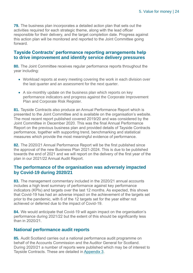**79.** The business plan incorporates a detailed action plan that sets out the activities required for each strategic theme, along with the lead officer responsible for their delivery, and the target completion date. Progress against this action plan will be monitored and reported to the Joint Committee going forward.

#### **Tayside Contracts' performance reporting arrangements help to drive improvement and identify service delivery pressures**

**80.** The Joint Committee receives regular performance reports throughout the year including:

- Workload reports at every meeting covering the work in each division over the last quarter and an assessment for the next quarter.
- A six-monthly update on the business plan which reports on key performance indicators and progress against the Corporate Improvement Plan and Corporate Risk Register.

**81.** Tayside Contracts also produce an Annual Performance Report which is presented to the Joint Committee and is available on the organisation's website. The most recent report published covered 2019/20 and was considered by the Joint Committee in December 2020. This was the final Annual Performance Report on the previous business plan and provided details of Tayside Contracts performance, together with supporting trend, benchmarking and statistical measures which provide the most meaningful evidence of performance.

**82.** The 2020/21 Annual Performance Report will be the first published since the approval of the new Business Plan 2021-2024. This is due to be published towards the end of 2021 and we will report on the delivery of the first year of the plan in our 2021/22 Annual Audit Report.

#### **The performance of the organisation was adversely impacted by Covid-19 during 2020/21**

**83.** The management commentary included in the 2020/21 annual accounts includes a high level summary of performance against key performance indicators (KPIs) and targets over the last 12 months. As expected, this shows that Covid-19 has had an adverse impact on the achievement of the targets set prior to the pandemic, with 6 of the 12 targets set for the year either not achieved or deferred due to the impact of Covid-19.

**84.** We would anticipate that Covid-19 will again impact on the organisation's performance during 2021/22 but the extent of this should be significantly less than in 2020/21.

#### **National performance audit reports**

**85.** Audit Scotland carries out a national performance audit programme on behalf of the Accounts Commission and the Auditor General for Scotland. During 2020/21 a number of reports were published which may be of interest to Tayside Contracts. These are detailed in [Appendix 3.](#page-31-0)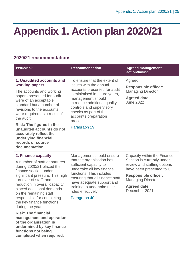## <span id="page-24-0"></span>**Appendix 1. Action plan 2020/21**

#### **2020/21 recommendations**

| <b>Issue/risk</b>                                                                                                                                                                                                                                                                                                                                                            | <b>Recommendation</b>                                                                                                                                                                                                                                                                  | <b>Agreed management</b><br>action/timing                                                                    |
|------------------------------------------------------------------------------------------------------------------------------------------------------------------------------------------------------------------------------------------------------------------------------------------------------------------------------------------------------------------------------|----------------------------------------------------------------------------------------------------------------------------------------------------------------------------------------------------------------------------------------------------------------------------------------|--------------------------------------------------------------------------------------------------------------|
| 1. Unaudited accounts and<br>working papers<br>The accounts and working<br>papers presented for audit<br>were of an acceptable<br>standard but a number of<br>revisions to the accounts<br>were required as a result of<br>the audit.<br><b>Risk: The figures in the</b><br>unaudited accounts do not<br>accurately reflect the<br>underlying financial<br>records or source | To ensure that the extent of<br>issues with the annual<br>accounts presented for audit<br>is minimised in future years,<br>management should<br>introduce additional quality<br>controls and supervisory<br>checks as part of the<br>accounts preparation<br>process.<br>Paragraph 19. | Agreed<br><b>Responsible officer:</b><br><b>Managing Director</b><br><b>Agreed date:</b><br><b>June 2022</b> |

#### **2. Finance capacity**

**documentation.**

A number of staff departures during 2020/21 placed the finance section under significant pressure. This high turnover of staff, and reduction in overall capacity, placed additional demands on the remaining staff responsible for completing the key finance functions during the year.

**Risk: The financial management and operation of the organisation is undermined by key finance functions not being completed when required.**

Management should ensure that the organisation has sufficient capacity to undertake all key finance functions. This includes ensuring that all finance staff have adequate support and training to undertake their roles effectively.

Paragraph [40.](#page-14-2)

Capacity within the Finance Section is currently under review and staffing options have been presented to CLT.

**Responsible officer:**  Managing Director

**Agreed date:**  December 2021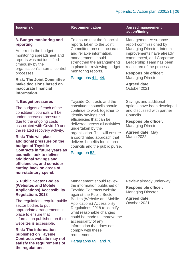| <b>Issue/risk</b>                                                                                                                                  | <b>Recommendation</b>                                                                                                                                                                                                             | <b>Agreed management</b><br>action/timing                                                                                                    |
|----------------------------------------------------------------------------------------------------------------------------------------------------|-----------------------------------------------------------------------------------------------------------------------------------------------------------------------------------------------------------------------------------|----------------------------------------------------------------------------------------------------------------------------------------------|
| 3. Budget monitoring and<br>reporting                                                                                                              | To ensure that the financial<br>reports taken to the Joint<br>Committee present accurate<br>and reliable information,<br>management should<br>strengthen the arrangements<br>in place for reviewing budget<br>monitoring reports. | <b>Management Assurance</b><br>report commissioned by                                                                                        |
| An error in the budget<br>monitoring spreadsheet and<br>reports was not identified<br>timeously by the<br>organisation's internal control          |                                                                                                                                                                                                                                   | Managing Director. Interim<br>improvements have already<br>commenced, and Corporate<br>Leadership Team has been<br>reassured of the process. |
| processes.                                                                                                                                         |                                                                                                                                                                                                                                   | <b>Responsible officer:</b>                                                                                                                  |
| <b>Risk: The Joint Committee</b><br>make decisions based on<br>inaccurate financial<br>information.                                                | Paragraphs 41.-44.                                                                                                                                                                                                                | <b>Managing Director</b><br><b>Agreed date:</b><br>October 2021                                                                              |
| 4. Budget pressures                                                                                                                                | Tayside Contracts and the                                                                                                                                                                                                         | Savings and additional                                                                                                                       |
| The budgets of each of the<br>constituent councils will be<br>under increased pressure<br>due to the ongoing costs<br>associated with Covid-19 and | constituent councils should<br>continue to work together to<br>identify savings and                                                                                                                                               | options have been developed<br>and discussed with partner<br>Councils.                                                                       |
|                                                                                                                                                    | efficiencies that can be<br>delivered across all activities                                                                                                                                                                       | <b>Responsible officer:</b><br><b>Managing Director</b>                                                                                      |

Managing Director

**Agreed date:** May March 2022

delivered across all activities undertaken by the organisation. This will ensure a coordinated approach that delivers benefits for all three councils and the public purse.

#### Paragraph [52.](#page-17-1)

#### **5. Public Sector Bodies (Websites and Mobile Applications) Accessibility Regulations 2018**

the related recovery activity.

**additional pressure on the** 

**Contracts in future years as councils look to deliver additional savings and efficiencies, and consider cutting back on areas of non-statutory spend.**

**Risk: This will place** 

**budget of Tayside** 

The regulations require public sector bodies to put appropriate arrangements in place to ensure that information published on their websites is accessible.

**Risk: The information published on Tayside Contracts website may not satisfy the requirements of the regulations.**

Management should review the information published on Tayside Contracts website against the Public Sector Bodies (Website and Mobile Applications) Accessibility Regulations 2018 to identify what reasonable changes could be made to improve the accessibility of any information that does not comply with these requirements.

Paragraphs [69.](#page-20-0) and [70.](#page-20-1)

Review already underway.

**Responsible officer:** Managing Director

**Agreed date:**  October 2021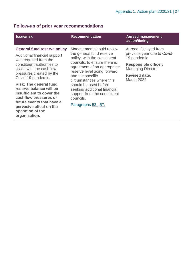### **Follow-up of prior year recommendations**

| <b>Issue/risk</b>                                                                                                                                                                                           | <b>Recommendation</b>                                                                                                                                                                                                                                                                                                                                            | <b>Agreed management</b><br>action/timing                                                                                                                                  |
|-------------------------------------------------------------------------------------------------------------------------------------------------------------------------------------------------------------|------------------------------------------------------------------------------------------------------------------------------------------------------------------------------------------------------------------------------------------------------------------------------------------------------------------------------------------------------------------|----------------------------------------------------------------------------------------------------------------------------------------------------------------------------|
| <b>General fund reserve policy</b><br>Additional financial support<br>was required from the<br>constituent authorities to<br>assist with the cashflow<br>pressures created by the<br>Covid-19 pandemic.     | Management should review<br>the general fund reserve<br>policy, with the constituent<br>councils, to ensure there is<br>agreement of an appropriate<br>reserve level going forward<br>and the specific<br>circumstances where this<br>should be used before<br>seeking additional financial<br>support from the constituent<br>councils.<br>Paragraphs 53. - 57. | Agreed. Delayed from<br>previous year due to Covid-<br>19 pandemic<br><b>Responsible officer:</b><br><b>Managing Director</b><br><b>Revised date:</b><br><b>March 2022</b> |
| <b>Risk: The general fund</b><br>reserve balance will be<br>insufficient to cover the<br>cashflow pressures of<br>future events that have a<br>pervasive effect on the<br>operation of the<br>organisation. |                                                                                                                                                                                                                                                                                                                                                                  |                                                                                                                                                                            |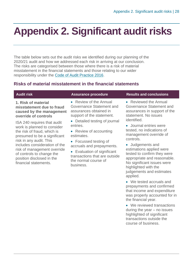## <span id="page-27-0"></span>**Appendix 2. Significant audit risks**

The table below sets out the audit risks we identified during our planning of the 2020/21 audit and how we addressed each risk in arriving at our conclusion. The risks are categorised between those where there is a risk of material misstatement in the financial statements and those relating to our wider responsibility under the [Code of Audit Practice 2016.](http://www.audit-scotland.gov.uk/report/code-of-audit-practice-2016)

#### **Risks of material misstatement in the financial statements**

#### **1. Risk of material misstatement due to fraud caused by the management override of controls**

ISA 240 requires that audit work is planned to consider the risk of fraud, which is presumed to be a significant risk in any audit. This includes consideration of the risk of management override of controls to change the position disclosed in the financial statements.

• Review of the Annual Governance Statement and assurances obtained in support of the statement.

• Detailed testing of journal entries.

• Review of accounting estimates.

• Focussed testing of accruals and prepayments.

• Evaluation of significant transactions that are outside the normal course of business.

#### **Audit risk Assurance procedure Results and conclusions**

• Reviewed the Annual Governance Statement and assurances in support of the statement. No issues identified.

• Journal entries were tested, no indications of management override of controls.

- Judgements and estimations applied were tested to confirm they were appropriate and reasonable. No significant issues were highlighted with the judgements and estimates applied.
- We tested accruals and prepayments and confirmed that income and expenditure was properly accounted for in the financial year.
- We reviewed transactions during the year – no issues highlighted of significant transactions outside the course of business.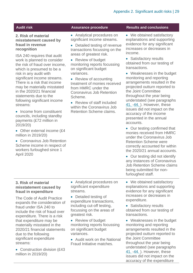#### **2. Risk of material misstatement caused by fraud in revenue recognition**

ISA 240 requires that audit work is planned to consider the risk of fraud over income, which is presumed to be a risk in any audit with significant income streams. There is a risk that income may be materially misstated in the 2020/21 financial statements due to the following significant income streams:

- Income from constituent councils, including standby payments (£72 million in 2019/20)
- Other external income (£4 million in 2019/20)
- Coronavirus Job Retention Scheme income in respect of workers furloughed since 1 April 2020

• Analytical procedures on significant income streams.

• Detailed testing of revenue transactions focussing on the areas of greatest risk.

• Review of budget monitoring reports focussing on significant budget variances.

• Review of accounting treatment of monies received from HMRC under the Coronavirus Job Retention Scheme.

• Review of staff included within the Coronavirus Job Retention Scheme claims.

#### **Audit risk Assurance procedure Results and conclusions**

• We obtained satisfactory explanations and supporting evidence for any significant increases or decreases in income.

• Satisfactory results obtained from our testing of transactions.

• Weaknesses in the budget monitoring and reporting arrangements resulted in the projected outturn reported to the Joint Committee throughout the year being understated (see paragraphs [41.](#page-14-0) [-44. \)](#page-14-1). However, these issues did not impact on the accuracy of the income presented in the annual accounts.

• Our testing confirmed that monies received from HMRC under the Coronavirus Job Retention Scheme were correctly accounted for within the 2020/21 annual accounts.

• Our testing did not identify any instances of Coronavirus Job Retention Scheme claims being submitted for nonfurloughed staff.

#### **3. Risk of material misstatement caused by fraud in expenditure**

The Code of Audit Practice expands the consideration of fraud under ISA 240 to include the risk of fraud over expenditure. There is a risk that expenditure may be materially misstated in the 2020/21 financial statements due to the following significant expenditure streams:

• Construction division (£43 million in 2019/20)

• Analytical procedures on significant expenditure streams.

- Detailed testing of expenditure transactions, including cut-off testing, focussing on the areas of greatest risk.
- Review of budget monitoring reports focussing on significant budget variances.

• Audit work on the National Fraud Initiative matches.

- We obtained satisfactory explanations and supporting evidence for any significant increases or decreases in expenditure.
- Satisfactory results obtained from our testing of transactions.

• Weaknesses in the budget monitoring and reporting arrangements resulted in the projected outturn reported to the Joint Committee throughout the year being understated (see paragraphs [41.](#page-14-0) [-44. \)](#page-14-1). However, these issues did not impact on the accuracy of the expenditure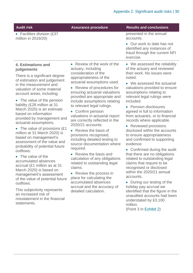| <b>Audit risk</b>                                                                                                                                                                                                                                                                                                                                                                                                                                                                                                                                                                                                                                                                                                                                                                                                                               | <b>Assurance procedure</b>                                                                                                                                                                                                                                                                                                                                                                                                                                                                                                                                                                                                                                                                                                                                                                                      | <b>Results and conclusions</b>                                                                                                                                                                                                                                                                                                                                                                                                                                                                                                                                                                                                                                                                                                                                                                                                                                                                          |
|-------------------------------------------------------------------------------------------------------------------------------------------------------------------------------------------------------------------------------------------------------------------------------------------------------------------------------------------------------------------------------------------------------------------------------------------------------------------------------------------------------------------------------------------------------------------------------------------------------------------------------------------------------------------------------------------------------------------------------------------------------------------------------------------------------------------------------------------------|-----------------------------------------------------------------------------------------------------------------------------------------------------------------------------------------------------------------------------------------------------------------------------------------------------------------------------------------------------------------------------------------------------------------------------------------------------------------------------------------------------------------------------------------------------------------------------------------------------------------------------------------------------------------------------------------------------------------------------------------------------------------------------------------------------------------|---------------------------------------------------------------------------------------------------------------------------------------------------------------------------------------------------------------------------------------------------------------------------------------------------------------------------------------------------------------------------------------------------------------------------------------------------------------------------------------------------------------------------------------------------------------------------------------------------------------------------------------------------------------------------------------------------------------------------------------------------------------------------------------------------------------------------------------------------------------------------------------------------------|
| • Facilities division (£37<br>million in 2019/20)                                                                                                                                                                                                                                                                                                                                                                                                                                                                                                                                                                                                                                                                                                                                                                                               |                                                                                                                                                                                                                                                                                                                                                                                                                                                                                                                                                                                                                                                                                                                                                                                                                 | presented in the annual<br>accounts.<br>• Our work to date has not<br>identified any instances of<br>fraud through the current NFI<br>exercise.                                                                                                                                                                                                                                                                                                                                                                                                                                                                                                                                                                                                                                                                                                                                                         |
| <b>4. Estimations and</b><br>judgements<br>There is a significant degree<br>of estimation and judgement<br>in the measurement and<br>valuation of some material<br>account areas, including:<br>• The value of the pension<br>liability (£28 million at 31<br>March 2020) is an estimate<br>based on information<br>provided by management and<br>actuarial assumptions.<br>• The value of provisions (£1)<br>million at 31 March 2020) is<br>based on management's<br>assessment of the value and<br>probability of potential future<br>outflows.<br>• The value of the<br>accumulated absences<br>accrual (£1 million as at 31<br>March 2020) is based on<br>management's assessment<br>of the value of potential future<br>outflows.<br>This subjectivity represents<br>an increased risk of<br>misstatement in the financial<br>statements. | • Review of the work of the<br>actuary, including<br>consideration of the<br>appropriateness of the<br>actuarial assumptions used.<br>Review of procedures for<br>ensuring actuarial valuations<br>provided are appropriate and<br>include assumptions relating<br>to relevant legal rulings.<br>Confirm pension<br>$\bullet$<br>valuations in actuarial report<br>are correctly reflected in the<br>2020/21 accounts.<br>• Review the basis of<br>provisions recognised,<br>including detailed testing to<br>source documentation where<br>required.<br>Review the basis and<br>$\bullet$<br>calculation of any obligations<br>related to outstanding legal<br>claims.<br>• Review the process in<br>place for calculating the<br>accumulated absences<br>accrual and the accuracy of<br>detailed calculation. | • We assessed the reliability<br>of the actuary and reviewed<br>their work. No issues were<br>noted.<br>• We assessed the actuarial<br>valuations provided to ensure<br>assumptions relating to<br>relevant legal rulings were<br>included.<br>• Pension disclosures<br>agreed in full to information<br>from actuaries, or to financial<br>records where applicable.<br>• Reviewed provisions<br>disclosed within the accounts<br>to ensure appropriateness<br>and confirmed to supporting<br>evidence.<br>• Confirmed during the audit<br>that there are no obligations<br>related to outstanding legal<br>claims that require to be<br>recognised or disclosed<br>within the 2020/21 annual<br>accounts.<br>• During our testing of the<br>holiday pay accrual we<br>identified that the figure in the<br>unaudited accounts had been<br>understated by £0.100<br>million.<br>(Point 3 in Exhibit 2) |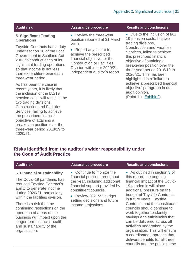#### **5. Significant Trading Operations**

Tayside Contracts has a duty under section 10 of the Local Government in Scotland Act 2003 to conduct each of its significant trading operations so that income is not less than expenditure over each three-year period.

As has been the case in recent years, it is likely that the inclusion of the IAS19 pension costs will result in the two trading divisions, Construction and Facilities Services, failing to achieve the prescribed financial objective of attaining a breakeven position over the three-year period 2018/19 to 2020/21.

• Review the three-year position reported at 31 March 2021.

• Report any failure to achieve the prescribed financial objective for the Construction or Facilities Division within our 2020/21 independent auditor's report.

#### **Audit risk Assurance procedure Results and conclusions**

• Due to the inclusion of IAS 19 pension costs, the two trading divisions, Construction and Facilities Services, failed to achieve this prescribed financial objective of attaining a breakeven position over the three-year period 2018/19 to 2020/21. This has been highlighted in a 'failure to achieve a prescribed financial objective' paragraph in our audit opinion.

(Point 1 in [Exhibit](#page-9-0) 2)

#### **Risks identified from the auditor's wider responsibility under the Code of Audit Practice**

| <b>Audit risk</b>                                                                                                                                                                                                                                                                                                                                                                                 | <b>Assurance procedure</b>                                                                                                                                                                                                               | <b>Results and conclusions</b>                                                                                                                                                                                                                                                                                                                                                                                                                                                                                                                    |
|---------------------------------------------------------------------------------------------------------------------------------------------------------------------------------------------------------------------------------------------------------------------------------------------------------------------------------------------------------------------------------------------------|------------------------------------------------------------------------------------------------------------------------------------------------------------------------------------------------------------------------------------------|---------------------------------------------------------------------------------------------------------------------------------------------------------------------------------------------------------------------------------------------------------------------------------------------------------------------------------------------------------------------------------------------------------------------------------------------------------------------------------------------------------------------------------------------------|
| 6. Financial sustainability<br>The Covid-19 pandemic has<br>reduced Tayside Contract's<br>ability to generate income<br>during 2020/21, particularly<br>within the facilities division.<br>There is a risk that the<br>continuing restrictions on the<br>operation of areas of the<br>business will impact upon the<br>longer term financial health<br>and sustainability of the<br>organisation. | • Continue to monitor the<br>financial position throughout<br>the year, including additional<br>financial support provided by<br>constituent councils.<br>• Review 2021/22 budget<br>setting decisions and future<br>income projections. | • As outlined in section 3 of<br>this report, the ongoing<br>financial impact of the Covid-<br>19 pandemic will place<br>additional pressure on the<br>budget of Tayside Contracts<br>in future years. Tayside<br>Contracts and the constituent<br>councils should continue to<br>work together to identify<br>savings and efficiencies that<br>can be delivered across all<br>activities undertaken by the<br>organisation. This will ensure<br>a coordinated approach that<br>delivers benefits for all three<br>councils and the public purse. |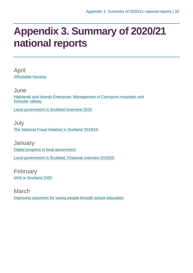## <span id="page-31-0"></span>**Appendix 3. Summary of 2020/21 national reports**

April [Affordable housing](https://www.audit-scotland.gov.uk/report/affordable-housing)

**June** [Highlands and Islands Enterprise: Management of Cairngorm mountain and](https://www.audit-scotland.gov.uk/report/highlands-and-islands-enterprise-management-of-cairngorm-mountain-and-funicular-railway)  [funicular railway](https://www.audit-scotland.gov.uk/report/highlands-and-islands-enterprise-management-of-cairngorm-mountain-and-funicular-railway)

[Local government in Scotland Overview 2020](https://www.audit-scotland.gov.uk/report/local-government-in-scotland-overview-2020)

July [The National Fraud Initiative in Scotland 2018/19](https://www.audit-scotland.gov.uk/report/the-national-fraud-initiative-in-scotland-201819)

**January** [Digital progress in local government](https://www.audit-scotland.gov.uk/report/digital-progress-in-local-government) [Local government in Scotland: Financial overview 2019/20](https://www.audit-scotland.gov.uk/report/local-government-in-scotland-financial-overview-201920)

February [NHS in Scotland 2020](https://www.audit-scotland.gov.uk/report/nhs-in-scotland-2020)

March [Improving outcomes for young people through school education](https://www.audit-scotland.gov.uk/report/improving-outcomes-for-young-people-through-school-education)